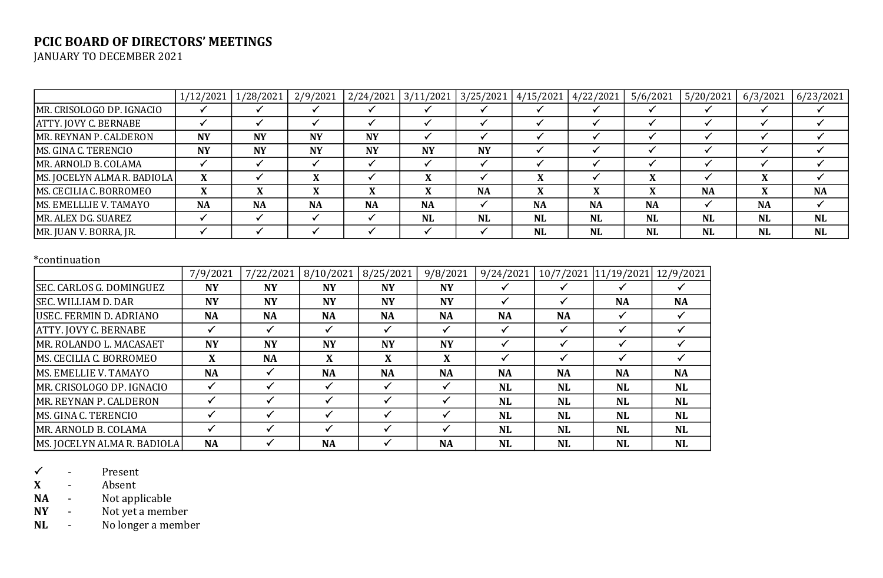## **PCIC BOARD OF DIRECTORS' MEETINGS**

JANUARY TO DECEMBER 2021

|                              | 1/12/2021 | 1/28/2021      | 2/9/2021  |           |           |           |           | $ 2/24/2021 3/11/2021 3/25/2021 4/15/2021 4/22/2021 $ | 5/6/2021  | 5/20/2021 | 6/3/2021  | 6/23/2021 |
|------------------------------|-----------|----------------|-----------|-----------|-----------|-----------|-----------|-------------------------------------------------------|-----------|-----------|-----------|-----------|
| MR. CRISOLOGO DP. IGNACIO    |           |                |           |           |           |           |           |                                                       |           |           |           |           |
| <b>ATTY. JOVY C. BERNABE</b> |           |                |           |           |           |           |           |                                                       |           |           |           |           |
| MR. REYNAN P. CALDERON       | <b>NY</b> | <b>NY</b>      | <b>NY</b> | <b>NY</b> |           |           |           |                                                       |           |           |           |           |
| MS. GINA C. TERENCIO         | <b>NY</b> | <b>NY</b>      | <b>NY</b> | <b>NY</b> | <b>NY</b> | <b>NY</b> |           |                                                       |           |           |           |           |
| MR. ARNOLD B. COLAMA         |           |                |           |           |           |           |           |                                                       |           |           |           |           |
| MS. JOCELYN ALMA R. BADIOLA  | X         |                |           |           |           |           |           |                                                       |           |           |           |           |
| MS. CECILIA C. BORROMEO      | v<br>л    | v<br>$\Lambda$ |           |           |           | <b>NA</b> | X         |                                                       |           | <b>NA</b> |           | <b>NA</b> |
| MS. EMELLLIE V. TAMAYO       | <b>NA</b> | <b>NA</b>      | <b>NA</b> | <b>NA</b> | <b>NA</b> |           | <b>NA</b> | <b>NA</b>                                             | <b>NA</b> |           | <b>NA</b> |           |
| MR. ALEX DG. SUAREZ          |           |                |           |           | <b>NL</b> | <b>NL</b> | <b>NL</b> | <b>NL</b>                                             | <b>NL</b> | <b>NL</b> | <b>NL</b> | <b>NL</b> |
| MR. JUAN V. BORRA, JR.       |           |                |           |           |           |           | <b>NL</b> | <b>NL</b>                                             | <b>NL</b> | <b>NL</b> | <b>NL</b> | NL        |

#### \*continuation

|                                 | 7/9/2021  | 7/22/2021 | 8/10/2021 | 8/25/2021 | 9/8/2021  | 9/24/2021 | 10/7/2021 | 11/19/2021 | 12/9/2021 |
|---------------------------------|-----------|-----------|-----------|-----------|-----------|-----------|-----------|------------|-----------|
| <b>SEC. CARLOS G. DOMINGUEZ</b> | <b>NY</b> | <b>NY</b> | <b>NY</b> | <b>NY</b> | <b>NY</b> |           |           |            |           |
| <b>SEC. WILLIAM D. DAR</b>      | <b>NY</b> | <b>NY</b> | <b>NY</b> | <b>NY</b> | <b>NY</b> |           |           | <b>NA</b>  | <b>NA</b> |
| USEC. FERMIN D. ADRIANO         | <b>NA</b> | <b>NA</b> | <b>NA</b> | <b>NA</b> | <b>NA</b> | <b>NA</b> | <b>NA</b> |            |           |
| ATTY. JOVY C. BERNABE           |           |           |           |           |           |           |           |            |           |
| MR. ROLANDO L. MACASAET         | <b>NY</b> | <b>NY</b> | <b>NY</b> | <b>NY</b> | <b>NY</b> |           |           |            |           |
| MS. CECILIA C. BORROMEO         | X         | <b>NA</b> | X         | X         | X         |           |           |            |           |
| MS. EMELLIE V. TAMAYO           | <b>NA</b> |           | <b>NA</b> | <b>NA</b> | <b>NA</b> | <b>NA</b> | <b>NA</b> | <b>NA</b>  | <b>NA</b> |
| MR. CRISOLOGO DP. IGNACIO       |           |           |           |           |           | <b>NL</b> | <b>NL</b> | <b>NL</b>  | <b>NL</b> |
| MR. REYNAN P. CALDERON          |           |           |           |           |           | <b>NL</b> | <b>NL</b> | <b>NL</b>  | <b>NL</b> |
| MS. GINA C. TERENCIO            |           |           |           |           |           | <b>NL</b> | <b>NL</b> | <b>NL</b>  | <b>NL</b> |
| MR. ARNOLD B. COLAMA            |           |           |           |           |           | <b>NL</b> | <b>NL</b> | <b>NL</b>  | <b>NL</b> |
| MS. JOCELYN ALMA R. BADIOLA     | <b>NA</b> |           | <b>NA</b> |           | <b>NA</b> | <b>NL</b> | NL        | <b>NL</b>  | <b>NL</b> |

- Present

**X** - Absent<br>**NA** - Notapp

**NA** - Not applicable<br>**NY** - Not yet a memb

- Not yet a member

**NL** - No longer a member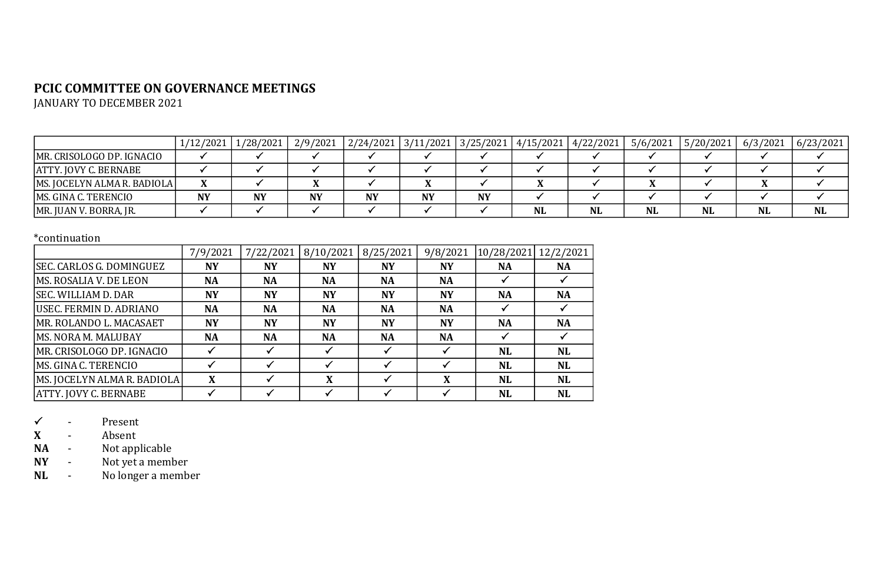# **PCIC COMMITTEE ON GOVERNANCE MEETINGS**

JANUARY TO DECEMBER 2021

|                             | 1/12/2021 | 1/28/2021 | 2/9/2021  | $2/24/2021$ 3/11/2021 |    |           | 3/25/2021 4/15/2021 4/22/2021 |           | 5/6/2021  | 5/20/2021 | 6/3/2021  | 6/23/2021 |
|-----------------------------|-----------|-----------|-----------|-----------------------|----|-----------|-------------------------------|-----------|-----------|-----------|-----------|-----------|
| MR. CRISOLOGO DP. IGNACIO   |           |           |           |                       |    |           |                               |           |           |           |           |           |
| ATTY. JOVY C. BERNABE       |           |           |           |                       |    |           |                               |           |           |           |           |           |
| MS. JOCELYN ALMA R. BADIOLA |           |           |           |                       |    |           |                               |           |           |           |           |           |
| MS. GINA C. TERENCIO        | <b>NY</b> | <b>NY</b> | <b>NY</b> | <b>NY</b>             | NY | <b>NY</b> |                               |           |           |           |           |           |
| MR. JUAN V. BORRA, JR.      |           |           |           |                       |    |           | <b>NL</b>                     | <b>NL</b> | <b>NL</b> | <b>NL</b> | <b>NL</b> | <b>NL</b> |

### \*continuation

|                              | 7/9/2021  | 7/22/2021 | 8/10/2021 | 8/25/2021 | 9/8/2021  | 10/28/2021 | 12/2/2021 |
|------------------------------|-----------|-----------|-----------|-----------|-----------|------------|-----------|
| SEC. CARLOS G. DOMINGUEZ     | <b>NY</b> | <b>NY</b> | <b>NY</b> | NY        | <b>NY</b> | <b>NA</b>  | <b>NA</b> |
| MS. ROSALIA V. DE LEON       | <b>NA</b> | <b>NA</b> | <b>NA</b> | <b>NA</b> | <b>NA</b> |            |           |
| <b>SEC. WILLIAM D. DAR</b>   | <b>NY</b> | <b>NY</b> | <b>NY</b> | <b>NY</b> | <b>NY</b> | <b>NA</b>  | <b>NA</b> |
| USEC. FERMIN D. ADRIANO      | <b>NA</b> | <b>NA</b> | <b>NA</b> | <b>NA</b> | <b>NA</b> |            |           |
| MR. ROLANDO L. MACASAET      | <b>NY</b> | <b>NY</b> | <b>NY</b> | <b>NY</b> | <b>NY</b> | <b>NA</b>  | <b>NA</b> |
| MS. NORA M. MALUBAY          | <b>NA</b> | <b>NA</b> | <b>NA</b> | <b>NA</b> | <b>NA</b> |            |           |
| MR. CRISOLOGO DP. IGNACIO    |           |           |           |           |           | <b>NL</b>  | <b>NL</b> |
| MS. GINA C. TERENCIO         |           |           |           |           |           | <b>NL</b>  | <b>NL</b> |
| MS. JOCELYN ALMA R. BADIOLA  | X         |           | X         |           | X         | <b>NL</b>  | <b>NL</b> |
| <b>ATTY. JOVY C. BERNABE</b> |           |           |           |           |           | <b>NL</b>  | <b>NL</b> |

 $\begin{array}{ccc} \checkmark & - & \text{Present} \ \mathbf{X} & - & \text{Absent} \end{array}$ 

**X** - Absent<br>**NA** - Notapp

**-** Not applicable

**NY** - Not yet a member<br>**NL** - No longer a member

**-** No longer a member